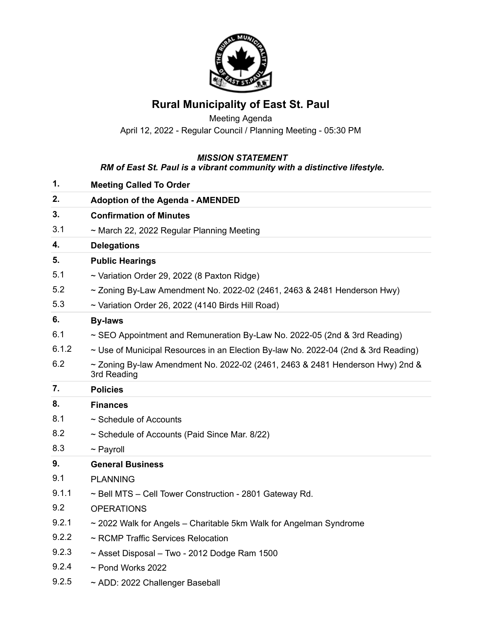

## **Rural Municipality of East St. Paul**

Meeting Agenda April 12, 2022 - Regular Council / Planning Meeting - 05:30 PM

## *MISSION STATEMENT*

## *RM of East St. Paul is a vibrant community with a distinctive lifestyle.*

| 1.    | <b>Meeting Called To Order</b>                                                                    |
|-------|---------------------------------------------------------------------------------------------------|
| 2.    | <b>Adoption of the Agenda - AMENDED</b>                                                           |
| 3.    | <b>Confirmation of Minutes</b>                                                                    |
| 3.1   | ~ March 22, 2022 Regular Planning Meeting                                                         |
| 4.    | <b>Delegations</b>                                                                                |
| 5.    | <b>Public Hearings</b>                                                                            |
| 5.1   | ~ Variation Order 29, 2022 (8 Paxton Ridge)                                                       |
| 5.2   | $\sim$ Zoning By-Law Amendment No. 2022-02 (2461, 2463 & 2481 Henderson Hwy)                      |
| 5.3   | ~ Variation Order 26, 2022 (4140 Birds Hill Road)                                                 |
| 6.    | <b>By-laws</b>                                                                                    |
| 6.1   | $\sim$ SEO Appointment and Remuneration By-Law No. 2022-05 (2nd & 3rd Reading)                    |
| 6.1.2 | $\sim$ Use of Municipal Resources in an Election By-law No. 2022-04 (2nd & 3rd Reading)           |
| 6.2   | $\sim$ Zoning By-law Amendment No. 2022-02 (2461, 2463 & 2481 Henderson Hwy) 2nd &<br>3rd Reading |
| 7.    | <b>Policies</b>                                                                                   |
|       |                                                                                                   |
| 8.    | <b>Finances</b>                                                                                   |
| 8.1   | $\sim$ Schedule of Accounts                                                                       |
| 8.2   | ~ Schedule of Accounts (Paid Since Mar. 8/22)                                                     |
| 8.3   | $\sim$ Payroll                                                                                    |
| 9.    | <b>General Business</b>                                                                           |
| 9.1   | <b>PLANNING</b>                                                                                   |
| 9.1.1 | ~ Bell MTS - Cell Tower Construction - 2801 Gateway Rd.                                           |
| 9.2   | <b>OPERATIONS</b>                                                                                 |
| 9.2.1 | ~ 2022 Walk for Angels – Charitable 5km Walk for Angelman Syndrome                                |
| 9.2.2 | ~ RCMP Traffic Services Relocation                                                                |
| 9.2.3 | $\sim$ Asset Disposal – Two - 2012 Dodge Ram 1500                                                 |
| 9.2.4 | $\sim$ Pond Works 2022                                                                            |